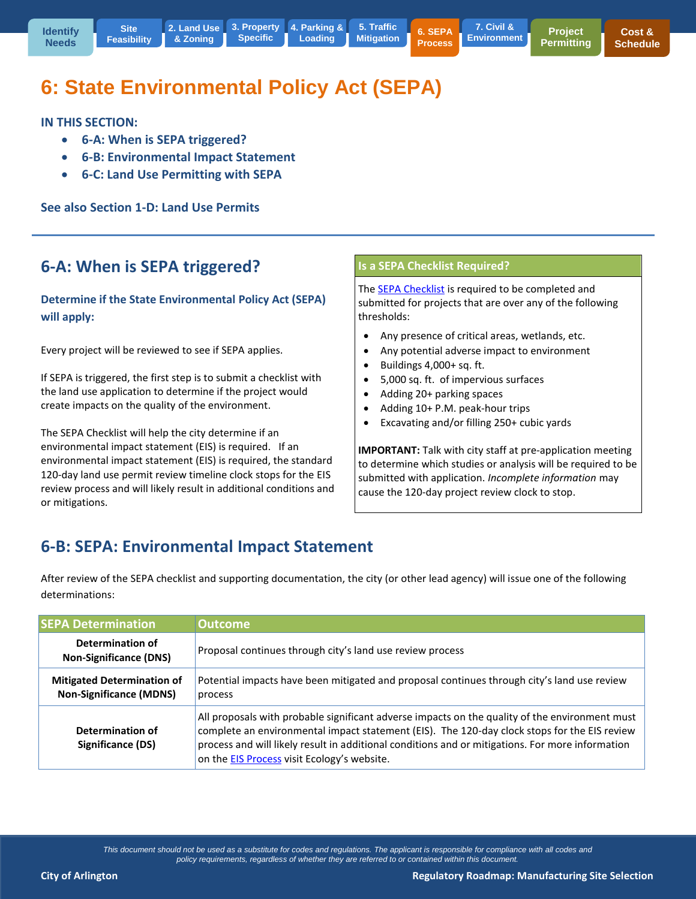**[Mitigation](http://www.arlingtonwa.gov/roadmap-traffic) 6. SEPA Process 7. Civil & [Environment](http://www.arlingtonwa.gov/roadmap-civil)**

# **6: State Environmental Policy Act (SEPA)**

**Specific**

**IN THIS SECTION:** 

**6-A: When is SEPA triggered?**

**Site** 

- **6-B: Environmental Impact Statement**
- **6-C: Land Use Permitting with SEPA**

**See also Section 1-D: Land Use Permits**

### **6-A: When is SEPA triggered?**

#### **Determine if the State Environmental Policy Act (SEPA) will apply:**

Every project will be reviewed to see if SEPA applies.

If SEPA is triggered, the first step is to submit a checklist with the land use application to determine if the project would create impacts on the quality of the environment.

The SEPA Checklist will help the city determine if an environmental impact statement (EIS) is required. If an environmental impact statement (EIS) is required, the standard 120-day land use permit review timeline clock stops for the EIS review process and will likely result in additional conditions and or mitigations.

#### **Is a SEPA Checklist Required?**

Th[e SEPA Checklist](http://www.ecy.wa.gov/programs/sea/sepa/forms.htm) is required to be completed and submitted for projects that are over any of the following thresholds:

- Any presence of critical areas, wetlands, etc.
- Any potential adverse impact to environment
- Buildings 4,000+ sq. ft.
- 5,000 sq. ft. of impervious surfaces
- Adding 20+ parking spaces
- Adding 10+ P.M. peak-hour trips
- Excavating and/or filling 250+ cubic yards

**IMPORTANT:** Talk with city staff at pre-application meeting to determine which studies or analysis will be required to be submitted with application. *Incomplete information* may cause the 120-day project review clock to stop.

## **6-B: SEPA: Environmental Impact Statement**

After review of the SEPA checklist and supporting documentation, the city (or other lead agency) will issue one of the following determinations:

| <b>SEPA Determination</b>                                           | <b>Outcome</b>                                                                                                                                                                                                                                                                                                                                           |
|---------------------------------------------------------------------|----------------------------------------------------------------------------------------------------------------------------------------------------------------------------------------------------------------------------------------------------------------------------------------------------------------------------------------------------------|
| Determination of<br><b>Non-Significance (DNS)</b>                   | Proposal continues through city's land use review process                                                                                                                                                                                                                                                                                                |
| <b>Mitigated Determination of</b><br><b>Non-Significance (MDNS)</b> | Potential impacts have been mitigated and proposal continues through city's land use review<br>process                                                                                                                                                                                                                                                   |
| Determination of<br>Significance (DS)                               | All proposals with probable significant adverse impacts on the quality of the environment must<br>complete an environmental impact statement (EIS). The 120-day clock stops for the EIS review<br>process and will likely result in additional conditions and or mitigations. For more information<br>on the <b>EIS Process</b> visit Ecology's website. |

*This document should not be used as a substitute for codes and regulations. The applicant is responsible for compliance with all codes and policy requirements, regardless of whether they are referred to or contained within this document.*